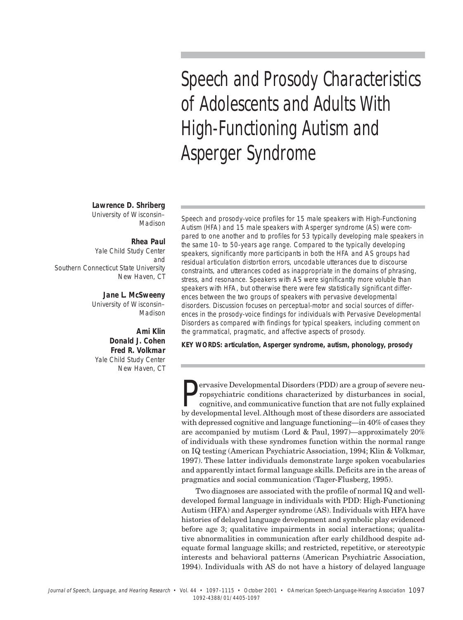Speech and Prosody Characteristics of Adolescents and Adults With High-Functioning Autism and Asperger Syndrome

**Lawrence D. Shriberg** University of Wisconsin– Madison

#### **Rhea Paul**

Yale Child Study Center and Southern Connecticut State University New Haven, CT

#### **Jane L. McSweeny**

University of Wisconsin– Madison

**Ami Klin Donald J. Cohen Fred R. Volkmar** Yale Child Study Center New Haven, CT

Speech and prosody-voice profiles for 15 male speakers with High-Functioning Autism (HFA) and 15 male speakers with Asperger syndrome (AS) were compared to one another and to profiles for 53 typically developing male speakers in the same 10- to 50-years age range. Compared to the typically developing speakers, significantly more participants in both the HFA and AS groups had residual articulation distortion errors, uncodable utterances due to discourse constraints, and utterances coded as inappropriate in the domains of phrasing, stress, and resonance. Speakers with AS were significantly more voluble than speakers with HFA, but otherwise there were few statistically significant differences between the two groups of speakers with pervasive developmental disorders. Discussion focuses on perceptual-motor and social sources of differences in the prosody-voice findings for individuals with Pervasive Developmental Disorders as compared with findings for typical speakers, including comment on the grammatical, pragmatic, and affective aspects of prosody.

**KEY WORDS: articulation, Asperger syndrome, autism, phonology, prosody**

**P**ervasive Developmental Disorders (PDD) are a group of severe neu-<br>ropsychiatric conditions characterized by disturbances in social,<br>cognitive, and communicative function that are not fully explained<br>by developmental lev ervasive Developmental Disorders (PDD) are a group of severe neuropsychiatric conditions characterized by disturbances in social, cognitive, and communicative function that are not fully explained with depressed cognitive and language functioning—in 40% of cases they are accompanied by mutism (Lord & Paul, 1997)—approximately 20% of individuals with these syndromes function within the normal range on IQ testing (American Psychiatric Association, 1994; Klin & Volkmar, 1997). These latter individuals demonstrate large spoken vocabularies and apparently intact formal language skills. Deficits are in the areas of pragmatics and social communication (Tager-Flusberg, 1995).

Two diagnoses are associated with the profile of normal IQ and welldeveloped formal language in individuals with PDD: High-Functioning Autism (HFA) and Asperger syndrome (AS). Individuals with HFA have histories of delayed language development and symbolic play evidenced before age 3; qualitative impairments in social interactions; qualitative abnormalities in communication after early childhood despite adequate formal language skills; and restricted, repetitive, or stereotypic interests and behavioral patterns (American Psychiatric Association, 1994). Individuals with AS do not have a history of delayed language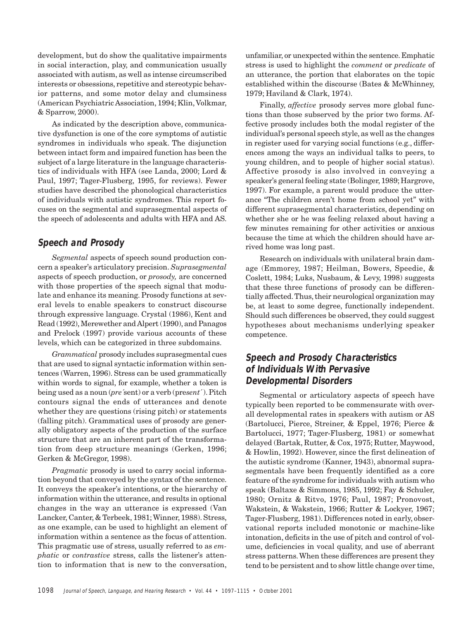development, but do show the qualitative impairments in social interaction, play, and communication usually associated with autism, as well as intense circumscribed interests or obsessions, repetitive and stereotypic behavior patterns, and some motor delay and clumsiness (American Psychiatric Association, 1994; Klin, Volkmar, & Sparrow, 2000).

As indicated by the description above, communicative dysfunction is one of the core symptoms of autistic syndromes in individuals who speak. The disjunction between intact form and impaired function has been the subject of a large literature in the language characteristics of individuals with HFA (see Landa, 2000; Lord & Paul, 1997; Tager-Flusberg, 1995, for reviews). Fewer studies have described the phonological characteristics of individuals with autistic syndromes. This report focuses on the segmental and suprasegmental aspects of the speech of adolescents and adults with HFA and AS.

#### **Speech and Prosody**

*Segmental* aspects of speech sound production concern a speaker's articulatory precision. *Suprasegmental* aspects of speech production, or *prosody,* are concerned with those properties of the speech signal that modulate and enhance its meaning. Prosody functions at several levels to enable speakers to construct discourse through expressive language. Crystal (1986), Kent and Read (1992), Merewether and Alpert (1990), and Panagos and Prelock (1997) provide various accounts of these levels, which can be categorized in three subdomains.

*Grammatical* prosody includes suprasegmental cues that are used to signal syntactic information within sentences (Warren, 1996). Stress can be used grammatically within words to signal, for example, whether a token is being used as a noun (*pre*′sent) or a verb (pre*sent*′ ). Pitch contours signal the ends of utterances and denote whether they are questions (rising pitch) or statements (falling pitch). Grammatical uses of prosody are generally obligatory aspects of the production of the surface structure that are an inherent part of the transformation from deep structure meanings (Gerken, 1996; Gerken & McGregor, 1998).

*Pragmatic* prosody is used to carry social information beyond that conveyed by the syntax of the sentence. It conveys the speaker's intentions, or the hierarchy of information within the utterance, and results in optional changes in the way an utterance is expressed (Van Lancker, Canter, & Terbeek, 1981; Winner, 1988). Stress, as one example, can be used to highlight an element of information within a sentence as the focus of attention. This pragmatic use of stress, usually referred to as *emphatic* or *contrastive* stress, calls the listener's attention to information that is new to the conversation,

unfamiliar, or unexpected within the sentence. Emphatic stress is used to highlight the *comment* or *predicate* of an utterance, the portion that elaborates on the topic established within the discourse (Bates & McWhinney, 1979; Haviland & Clark, 1974).

Finally, *affective* prosody serves more global functions than those subserved by the prior two forms. Affective prosody includes both the modal register of the individual's personal speech style, as well as the changes in register used for varying social functions (e.g., differences among the ways an individual talks to peers, to young children, and to people of higher social status). Affective prosody is also involved in conveying a speaker's general feeling state (Bolinger, 1989; Hargrove, 1997). For example, a parent would produce the utterance "The children aren't home from school yet" with different suprasegmental characteristics, depending on whether she or he was feeling relaxed about having a few minutes remaining for other activities or anxious because the time at which the children should have arrived home was long past.

Research on individuals with unilateral brain damage (Emmorey, 1987; Heilman, Bowers, Speedie, & Coslett, 1984; Luks, Nusbaum, & Levy, 1998) suggests that these three functions of prosody can be differentially affected. Thus, their neurological organization may be, at least to some degree, functionally independent. Should such differences be observed, they could suggest hypotheses about mechanisms underlying speaker competence.

## **Speech and Prosody Characteristics of Individuals With Pervasive Developmental Disorders**

Segmental or articulatory aspects of speech have typically been reported to be commensurate with overall developmental rates in speakers with autism or AS (Bartolucci, Pierce, Streiner, & Eppel, 1976; Pierce & Bartolucci, 1977; Tager-Flusberg, 1981) or somewhat delayed (Bartak, Rutter, & Cox, 1975; Rutter, Maywood, & Howlin, 1992). However, since the first delineation of the autistic syndrome (Kanner, 1943), abnormal suprasegmentals have been frequently identified as a core feature of the syndrome for individuals with autism who speak (Baltaxe & Simmons, 1985, 1992; Fay & Schuler, 1980; Ornitz & Ritvo, 1976; Paul, 1987; Pronovost, Wakstein, & Wakstein, 1966; Rutter & Lockyer, 1967; Tager-Flusberg, 1981). Differences noted in early, observational reports included monotonic or machine-like intonation, deficits in the use of pitch and control of volume, deficiencies in vocal quality, and use of aberrant stress patterns. When these differences are present they tend to be persistent and to show little change over time,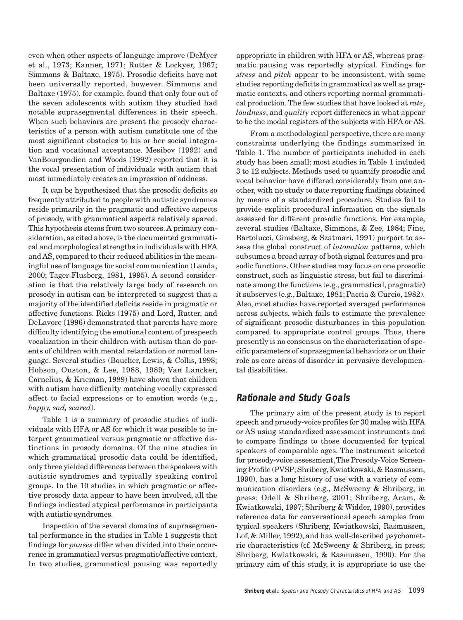even when other aspects of language improve (DeMyer et al., 1973; Kanner, 1971; Rutter & Lockyer, 1967; Simmons & Baltaxe, 1975). Prosodic deficits have not been universally reported, however. Simmons and Baltaxe (1975), for example, found that only four out of the seven adolescents with autism they studied had notable suprasegmental differences in their speech. When such behaviors are present the prosody characteristics of a person with autism constitute one of the most significant obstacles to his or her social integration and vocational acceptance. Mesibov (1992) and VanBourgondien and Woods (1992) reported that it is the vocal presentation of individuals with autism that most immediately creates an impression of oddness.

It can be hypothesized that the prosodic deficits so frequently attributed to people with autistic syndromes reside primarily in the pragmatic and affective aspects of prosody, with grammatical aspects relatively spared. This hypothesis stems from two sources. A primary consideration, as cited above, is the documented grammatical and morphological strengths in individuals with HFA and AS, compared to their reduced abilities in the meaningful use of language for social communication (Landa, 2000; Tager-Flusberg, 1981, 1995). A second consideration is that the relatively large body of research on prosody in autism can be interpreted to suggest that a majority of the identified deficits reside in pragmatic or affective functions. Ricks (1975) and Lord, Rutter, and DeLavore (1996) demonstrated that parents have more difficulty identifying the emotional content of prespeech vocalization in their children with autism than do parents of children with mental retardation or normal language. Several studies (Boucher, Lewis, & Collis, 1998; Hobson, Ouston, & Lee, 1988, 1989; Van Lancker, Cornelius, & Krieman, 1989) have shown that children with autism have difficulty matching vocally expressed affect to facial expressions or to emotion words (e.g., *happy, sad, scared*).

Table 1 is a summary of prosodic studies of individuals with HFA or AS for which it was possible to interpret grammatical versus pragmatic or affective distinctions in prosody domains. Of the nine studies in which grammatical prosodic data could be identified, only three yielded differences between the speakers with autistic syndromes and typically speaking control groups. In the 10 studies in which pragmatic or affective prosody data appear to have been involved, all the findings indicated atypical performance in participants with autistic syndromes.

Inspection of the several domains of suprasegmental performance in the studies in Table 1 suggests that findings for *pauses* differ when divided into their occurrence in grammatical versus pragmatic/affective context. In two studies, grammatical pausing was reportedly

appropriate in children with HFA or AS, whereas pragmatic pausing was reportedly atypical. Findings for *stress* and *pitch* appear to be inconsistent, with some studies reporting deficits in grammatical as well as pragmatic contexts, and others reporting normal grammatical production. The few studies that have looked at *rate*, *loudness*, and *quality* report differences in what appear to be the modal registers of the subjects with HFA or AS.

From a methodological perspective, there are many constraints underlying the findings summarized in Table 1. The number of participants included in each study has been small; most studies in Table 1 included 3 to 12 subjects. Methods used to quantify prosodic and vocal behavior have differed considerably from one another, with no study to date reporting findings obtained by means of a standardized procedure. Studies fail to provide explicit procedural information on the signals assessed for different prosodic functions. For example, several studies (Baltaxe, Simmons, & Zee, 1984; Fine, Bartolucci, Ginsberg, & Szatmari, 1991) purport to assess the global construct of *intonation* patterns, which subsumes a broad array of both signal features and prosodic functions. Other studies may focus on one prosodic construct, such as linguistic stress, but fail to discriminate among the functions (e.g., grammatical, pragmatic) it subserves (e.g., Baltaxe, 1981; Paccia & Curcio, 1982). Also, most studies have reported averaged performance across subjects, which fails to estimate the prevalence of significant prosodic disturbances in this population compared to appropriate control groups. Thus, there presently is no consensus on the characterization of specific parameters of suprasegmental behaviors or on their role as core areas of disorder in pervasive developmental disabilities.

#### **Rationale and Study Goals**

The primary aim of the present study is to report speech and prosody-voice profiles for 30 males with HFA or AS using standardized assessment instruments and to compare findings to those documented for typical speakers of comparable ages. The instrument selected for prosody-voice assessment, The Prosody-Voice Screening Profile (PVSP; Shriberg, Kwiatkowski, & Rasmussen, 1990), has a long history of use with a variety of communication disorders (e.g., McSweeny & Shriberg, in press; Odell & Shriberg, 2001; Shriberg, Aram, & Kwiatkowski, 1997; Shriberg & Widder, 1990), provides reference data for conversational speech samples from typical speakers (Shriberg, Kwiatkowski, Rasmussen, Lof, & Miller, 1992), and has well-described psychometric characteristics (cf. McSweeny & Shriberg, in press; Shriberg, Kwiatkowski, & Rasmussen, 1990). For the primary aim of this study, it is appropriate to use the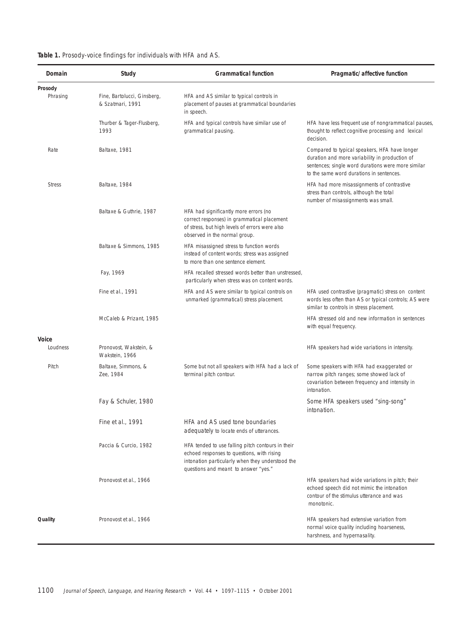| Domain              | Study                                           | <b>Grammatical function</b>                                                                                                                                                                 | Pragmatic/affective function                                                                                                                                                                      |
|---------------------|-------------------------------------------------|---------------------------------------------------------------------------------------------------------------------------------------------------------------------------------------------|---------------------------------------------------------------------------------------------------------------------------------------------------------------------------------------------------|
| Prosody<br>Phrasing | Fine, Bartolucci, Ginsberg,<br>& Szatmari, 1991 | HFA and AS similar to typical controls in<br>placement of pauses at grammatical boundaries<br>in speech.                                                                                    |                                                                                                                                                                                                   |
|                     | Thurber & Tager-Flusberg,<br>1993               | HFA and typical controls have similar use of<br>grammatical pausing.                                                                                                                        | HFA have less frequent use of nongrammatical pauses,<br>thought to reflect cognitive processing and lexical<br>decision.                                                                          |
| Rate                | Baltaxe, 1981                                   |                                                                                                                                                                                             | Compared to typical speakers, HFA have longer<br>duration and more variability in production of<br>sentences; single word durations were more similar<br>to the same word durations in sentences. |
| <b>Stress</b>       | Baltaxe, 1984                                   |                                                                                                                                                                                             | HFA had more misassignments of contrastive<br>stress than controls, although the total<br>number of misassignments was small.                                                                     |
|                     | Baltaxe & Guthrie, 1987                         | HFA had significantly more errors (no<br>correct responses) in grammatical placement<br>of stress, but high levels of errors were also<br>observed in the normal group.                     |                                                                                                                                                                                                   |
|                     | Baltaxe & Simmons, 1985                         | HFA misassigned stress to function words<br>instead of content words; stress was assigned<br>to more than one sentence element.                                                             |                                                                                                                                                                                                   |
|                     | Fay, 1969                                       | HFA recalled stressed words better than unstressed,<br>particularly when stress was on content words.                                                                                       |                                                                                                                                                                                                   |
|                     | Fine et al., 1991                               | HFA and AS were similar to typical controls on<br>unmarked (grammatical) stress placement.                                                                                                  | HFA used contrastive (pragmatic) stress on content<br>words less often than AS or typical controls; AS were<br>similar to controls in stress placement.                                           |
|                     | McCaleb & Prizant, 1985                         |                                                                                                                                                                                             | HFA stressed old and new information in sentences<br>with equal frequency.                                                                                                                        |
| Voice               |                                                 |                                                                                                                                                                                             |                                                                                                                                                                                                   |
| Loudness            | Pronovost, Wakstein, &<br>Wakstein, 1966        |                                                                                                                                                                                             | HFA speakers had wide variations in intensity.                                                                                                                                                    |
| Pitch               | Baltaxe, Simmons, &<br>Zee, 1984                | Some but not all speakers with HFA had a lack of<br>terminal pitch contour.                                                                                                                 | Some speakers with HFA had exaggerated or<br>narrow pitch ranges; some showed lack of<br>covariation between frequency and intensity in<br>intonation.                                            |
|                     | Fay & Schuler, 1980                             |                                                                                                                                                                                             | Some HFA speakers used "sing-song"<br>intonation.                                                                                                                                                 |
|                     | Fine et al., 1991                               | HFA and AS used tone boundaries<br>adequately to locate ends of utterances.                                                                                                                 |                                                                                                                                                                                                   |
|                     | Paccia & Curcio, 1982                           | HFA tended to use falling pitch contours in their<br>echoed responses to questions, with rising<br>intonation particularly when they understood the<br>questions and meant to answer "yes." |                                                                                                                                                                                                   |
|                     | Pronovost et al., 1966                          |                                                                                                                                                                                             | HFA speakers had wide variations in pitch; their<br>echoed speech did not mimic the intonation<br>contour of the stimulus utterance and was<br>monotonic.                                         |
| Quality             | Pronovost et al., 1966                          |                                                                                                                                                                                             | HFA speakers had extensive variation from<br>normal voice quality including hoarseness,<br>harshness, and hypernasality.                                                                          |

#### **Table 1.** Prosody-voice findings for individuals with HFA and AS.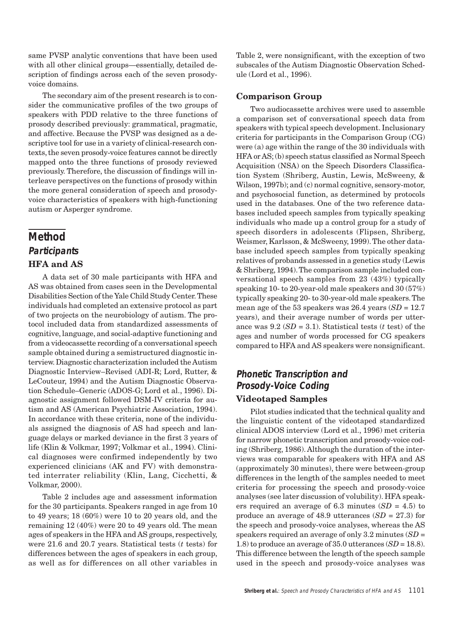same PVSP analytic conventions that have been used with all other clinical groups—essentially, detailed description of findings across each of the seven prosodyvoice domains.

The secondary aim of the present research is to consider the communicative profiles of the two groups of speakers with PDD relative to the three functions of prosody described previously: grammatical, pragmatic, and affective. Because the PVSP was designed as a descriptive tool for use in a variety of clinical-research contexts, the seven prosody-voice features cannot be directly mapped onto the three functions of prosody reviewed previously. Therefore, the discussion of findings will interleave perspectives on the functions of prosody within the more general consideration of speech and prosodyvoice characteristics of speakers with high-functioning autism or Asperger syndrome.

## **Method Participants HFA and AS**

A data set of 30 male participants with HFA and AS was obtained from cases seen in the Developmental Disabilities Section of the Yale Child Study Center. These individuals had completed an extensive protocol as part of two projects on the neurobiology of autism. The protocol included data from standardized assessments of cognitive, language, and social-adaptive functioning and from a videocassette recording of a conversational speech sample obtained during a semistructured diagnostic interview. Diagnostic characterization included the Autism Diagnostic Interview–Revised (ADI-R; Lord, Rutter, & LeCouteur, 1994) and the Autism Diagnostic Observation Schedule–Generic (ADOS-G; Lord et al., 1996). Diagnostic assignment followed DSM-IV criteria for autism and AS (American Psychiatric Association, 1994). In accordance with these criteria, none of the individuals assigned the diagnosis of AS had speech and language delays or marked deviance in the first 3 years of life (Klin & Volkmar, 1997; Volkmar et al., 1994). Clinical diagnoses were confirmed independently by two experienced clinicians (AK and FV) with demonstrated interrater reliability (Klin, Lang, Cicchetti, & Volkmar, 2000).

Table 2 includes age and assessment information for the 30 participants. Speakers ranged in age from 10 to 49 years; 18 (60%) were 10 to 20 years old, and the remaining 12 (40%) were 20 to 49 years old. The mean ages of speakers in the HFA and AS groups, respectively, were 21.6 and 20.7 years. Statistical tests (*t* tests) for differences between the ages of speakers in each group, as well as for differences on all other variables in Table 2, were nonsignificant, with the exception of two subscales of the Autism Diagnostic Observation Schedule (Lord et al., 1996).

#### **Comparison Group**

Two audiocassette archives were used to assemble a comparison set of conversational speech data from speakers with typical speech development. Inclusionary criteria for participants in the Comparison Group (CG) were (a) age within the range of the 30 individuals with HFA or AS; (b) speech status classified as Normal Speech Acquisition (NSA) on the Speech Disorders Classification System (Shriberg, Austin, Lewis, McSweeny, & Wilson, 1997b); and (c) normal cognitive, sensory-motor, and psychosocial function, as determined by protocols used in the databases. One of the two reference databases included speech samples from typically speaking individuals who made up a control group for a study of speech disorders in adolescents (Flipsen, Shriberg, Weismer, Karlsson, & McSweeny, 1999). The other database included speech samples from typically speaking relatives of probands assessed in a genetics study (Lewis & Shriberg, 1994). The comparison sample included conversational speech samples from 23 (43%) typically speaking 10- to 20-year-old male speakers and 30 (57%) typically speaking 20- to 30-year-old male speakers. The mean age of the 53 speakers was  $26.4$  years  $(SD = 12.7)$ years), and their average number of words per utterance was  $9.2$  (*SD* = 3.1). Statistical tests (*t* test) of the ages and number of words processed for CG speakers compared to HFA and AS speakers were nonsignificant.

## **Phonetic Transcription and Prosody-Voice Coding Videotaped Samples**

Pilot studies indicated that the technical quality and the linguistic content of the videotaped standardized clinical ADOS interview (Lord et al., 1996) met criteria for narrow phonetic transcription and prosody-voice coding (Shriberg, 1986). Although the duration of the interviews was comparable for speakers with HFA and AS (approximately 30 minutes), there were between-group differences in the length of the samples needed to meet criteria for processing the speech and prosody-voice analyses (see later discussion of volubility). HFA speakers required an average of 6.3 minutes  $(SD = 4.5)$  to produce an average of 48.9 utterances (*SD* = 27.3) for the speech and prosody-voice analyses, whereas the AS speakers required an average of only 3.2 minutes (*SD* = 1.8) to produce an average of 35.0 utterances (*SD* = 18.8). This difference between the length of the speech sample used in the speech and prosody-voice analyses was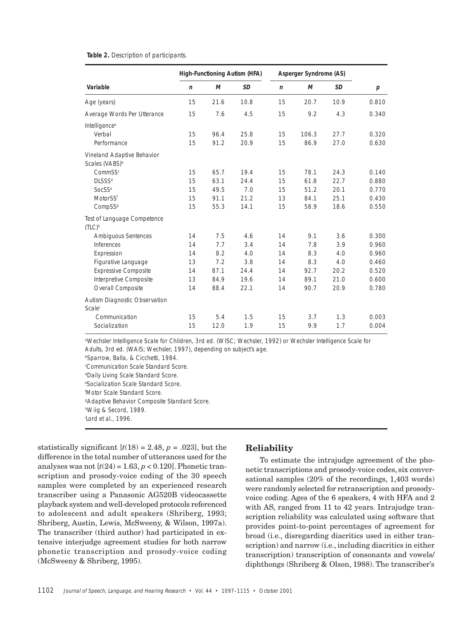|                                                          |    |      | High-Functioning Autism (HFA) |              | Asperger Syndrome (AS) |           |       |
|----------------------------------------------------------|----|------|-------------------------------|--------------|------------------------|-----------|-------|
| Variable                                                 | n  | M    | <b>SD</b>                     | $\mathsf{n}$ | М                      | <b>SD</b> | p     |
| Age (years)                                              | 15 | 21.6 | 10.8                          | 15           | 20.7                   | 10.9      | 0.810 |
| Average Words Per Utterance                              | 15 | 7.6  | 4.5                           | 15           | 9.2                    | 4.3       | 0.340 |
| <b>Intelligence</b> <sup>a</sup>                         |    |      |                               |              |                        |           |       |
| Verbal                                                   | 15 | 96.4 | 25.8                          | 15           | 106.3                  | 27.7      | 0.320 |
| Performance                                              | 15 | 91.2 | 20.9                          | 15           | 86.9                   | 27.0      | 0.630 |
| Vineland Adaptive Behavior<br>Scales (VABS) <sup>b</sup> |    |      |                               |              |                        |           |       |
| CommSS <sup>c</sup>                                      | 15 | 65.7 | 19.4                          | 15           | 78.1                   | 24.3      | 0.140 |
| <b>DLSSSd</b>                                            | 15 | 63.1 | 24.4                          | 15           | 61.8                   | 22.7      | 0.880 |
| SocSS <sup>e</sup>                                       | 15 | 49.5 | 7.0                           | 15           | 51.2                   | 20.1      | 0.770 |
| MotorSSf                                                 | 15 | 91.1 | 21.2                          | 13           | 84.1                   | 25.1      | 0.430 |
| CompSS <sup>9</sup>                                      | 15 | 55.3 | 14.1                          | 15           | 58.9                   | 18.6      | 0.550 |
| Test of Language Competence                              |    |      |                               |              |                        |           |       |
| $(TLC)^h$                                                |    |      |                               |              |                        |           |       |
| <b>Ambiguous Sentences</b>                               | 14 | 7.5  | 4.6                           | 14           | 9.1                    | 3.6       | 0.300 |
| <b>Inferences</b>                                        | 14 | 7.7  | 3.4                           | 14           | 7.8                    | 3.9       | 0.960 |
| Expression                                               | 14 | 8.2  | 4.0                           | 14           | 8.3                    | 4.0       | 0.960 |
| Figurative Language                                      | 13 | 7.2  | 3.8                           | 14           | 8.3                    | 4.0       | 0.460 |
| <b>Expressive Composite</b>                              | 14 | 87.1 | 24.4                          | 14           | 92.7                   | 20.2      | 0.520 |
| Interpretive Composite                                   | 13 | 84.9 | 19.6                          | 14           | 89.1                   | 21.0      | 0.600 |
| Overall Composite                                        | 14 | 88.4 | 22.1                          | 14           | 90.7                   | 20.9      | 0.780 |
| Autism Diagnostic Observation<br><b>Scale</b>            |    |      |                               |              |                        |           |       |
| Communication                                            | 15 | 5.4  | 1.5                           | 15           | 3.7                    | 1.3       | 0.003 |
| Socialization                                            | 15 | 12.0 | 1.9                           | 15           | 9.9                    | 1.7       | 0.004 |

 **Table 2.** Description of participants.

a Wechsler Intelligence Scale for Children, 3rd ed. (WISC; Wechsler, 1992) or Wechsler Intelligence Scale for Adults, 3rd ed. (WAIS; Wechsler, 1997), depending on subject's age.

b Sparrow, Balla, & Cicchetti, 1984.

c Communication Scale Standard Score. dDaily Living Scale Standard Score.

e Socialization Scale Standard Score.

f Motor Scale Standard Score. <sup>g</sup>Adaptive Behavior Composite Standard Score.

h Wiig & Secord, 1989.

i Lord et al., 1996.

statistically significant  $[t(18) = 2.48, p = .023]$ , but the difference in the total number of utterances used for the analyses was not  $[t(24) = 1.63, p < 0.120]$ . Phonetic transcription and prosody-voice coding of the 30 speech samples were completed by an experienced research transcriber using a Panasonic AG520B videocassette playback system and well-developed protocols referenced to adolescent and adult speakers (Shriberg, 1993; Shriberg, Austin, Lewis, McSweeny, & Wilson, 1997a). The transcriber (third author) had participated in extensive interjudge agreement studies for both narrow phonetic transcription and prosody-voice coding (McSweeny & Shriberg, 1995).

#### **Reliability**

To estimate the intrajudge agreement of the phonetic transcriptions and prosody-voice codes, six conversational samples (20% of the recordings, 1,403 words) were randomly selected for retranscription and prosodyvoice coding. Ages of the 6 speakers, 4 with HFA and 2 with AS, ranged from 11 to 42 years. Intrajudge transcription reliability was calculated using software that provides point-to-point percentages of agreement for broad (i.e., disregarding diacritics used in either transcription) and narrow (i.e., including diacritics in either transcription) transcription of consonants and vowels/ diphthongs (Shriberg & Olson, 1988). The transcriber's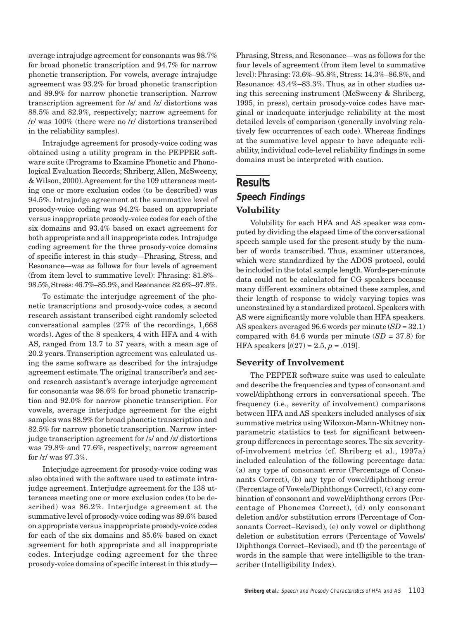average intrajudge agreement for consonants was 98.7% for broad phonetic transcription and 94.7% for narrow phonetic transcription. For vowels, average intrajudge agreement was 93.2% for broad phonetic transcription and 89.9% for narrow phonetic transcription. Narrow transcription agreement for /s/ and /z/ distortions was 88.5% and 82.9%, respectively; narrow agreement for /r/ was 100% (there were no /r/ distortions transcribed in the reliability samples).

Intrajudge agreement for prosody-voice coding was obtained using a utility program in the PEPPER software suite (Programs to Examine Phonetic and Phonological Evaluation Records; Shriberg, Allen, McSweeny, & Wilson, 2000). Agreement for the 109 utterances meeting one or more exclusion codes (to be described) was 94.5%. Intrajudge agreement at the summative level of prosody-voice coding was 94.2% based on appropriate versus inappropriate prosody-voice codes for each of the six domains and 93.4% based on exact agreement for both appropriate and all inappropriate codes. Intrajudge coding agreement for the three prosody-voice domains of specific interest in this study—Phrasing, Stress, and Resonance—was as follows for four levels of agreement (from item level to summative level): Phrasing: 81.8%– 98.5%, Stress: 46.7%–85.9%, and Resonance: 82.6%–97.8%.

To estimate the interjudge agreement of the phonetic transcriptions and prosody-voice codes, a second research assistant transcribed eight randomly selected conversational samples (27% of the recordings, 1,668 words). Ages of the 8 speakers, 4 with HFA and 4 with AS, ranged from 13.7 to 37 years, with a mean age of 20.2 years. Transcription agreement was calculated using the same software as described for the intrajudge agreement estimate. The original transcriber's and second research assistant's average interjudge agreement for consonants was 98.6% for broad phonetic transcription and 92.0% for narrow phonetic transcription. For vowels, average interjudge agreement for the eight samples was 88.9% for broad phonetic transcription and 82.5% for narrow phonetic transcription. Narrow interjudge transcription agreement for /s/ and /z/ distortions was 79.8% and 77.6%, respectively; narrow agreement for /r/ was 97.3%.

Interjudge agreement for prosody-voice coding was also obtained with the software used to estimate intrajudge agreement. Interjudge agreement for the 138 utterances meeting one or more exclusion codes (to be described) was 86.2%. Interjudge agreement at the summative level of prosody-voice coding was 89.6% based on appropriate versus inappropriate prosody-voice codes for each of the six domains and 85.6% based on exact agreement for both appropriate and all inappropriate codes. Interjudge coding agreement for the three prosody-voice domains of specific interest in this studyPhrasing, Stress, and Resonance—was as follows for the four levels of agreement (from item level to summative level): Phrasing: 73.6%–95.8%, Stress: 14.3%–86.8%, and Resonance: 43.4%–83.3%. Thus, as in other studies using this screening instrument (McSweeny & Shriberg, 1995, in press), certain prosody-voice codes have marginal or inadequate interjudge reliability at the most detailed levels of comparison (generally involving relatively few occurrences of each code). Whereas findings at the summative level appear to have adequate reliability, individual code-level reliability findings in some domains must be interpreted with caution.

## **Results Speech Findings Volubility**

Volubility for each HFA and AS speaker was computed by dividing the elapsed time of the conversational speech sample used for the present study by the number of words transcribed. Thus, examiner utterances, which were standardized by the ADOS protocol, could be included in the total sample length. Words-per-minute data could not be calculated for CG speakers because many different examiners obtained these samples, and their length of response to widely varying topics was unconstrained by a standardized protocol. Speakers with AS were significantly more voluble than HFA speakers. AS speakers averaged 96.6 words per minute (*SD* = 32.1) compared with 64.6 words per minute  $(SD = 37.8)$  for HFA speakers  $[t(27) = 2.5, p = .019]$ .

#### **Severity of Involvement**

The PEPPER software suite was used to calculate and describe the frequencies and types of consonant and vowel/diphthong errors in conversational speech. The frequency (i.e., severity of involvement) comparisons between HFA and AS speakers included analyses of six summative metrics using Wilcoxon-Mann-Whitney nonparametric statistics to test for significant betweengroup differences in percentage scores. The six severityof-involvement metrics (cf. Shriberg et al., 1997a) included calculation of the following percentage data: (a) any type of consonant error (Percentage of Consonants Correct), (b) any type of vowel/diphthong error (Percentage of Vowels/Diphthongs Correct), (c) any combination of consonant and vowel/diphthong errors (Percentage of Phonemes Correct), (d) only consonant deletion and/or substitution errors (Percentage of Consonants Correct–Revised), (e) only vowel or diphthong deletion or substitution errors (Percentage of Vowels/ Diphthongs Correct–Revised), and (f) the percentage of words in the sample that were intelligible to the transcriber (Intelligibility Index).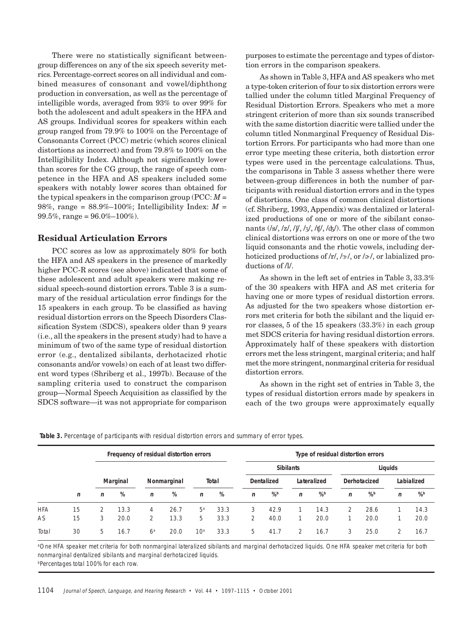There were no statistically significant betweengroup differences on any of the six speech severity metrics. Percentage-correct scores on all individual and combined measures of consonant and vowel/diphthong production in conversation, as well as the percentage of intelligible words, averaged from 93% to over 99% for both the adolescent and adult speakers in the HFA and AS groups. Individual scores for speakers within each group ranged from 79.9% to 100% on the Percentage of Consonants Correct (PCC) metric (which scores clinical distortions as incorrect) and from 79.8% to 100% on the Intelligibility Index. Although not significantly lower than scores for the CG group, the range of speech competence in the HFA and AS speakers included some speakers with notably lower scores than obtained for the typical speakers in the comparison group (PCC:  $M =$ 98%, range =  $88.9\%$ -100%; Intelligibility Index:  $M =$  $99.5\%$ , range =  $96.0\%$ -100%).

#### **Residual Articulation Errors**

PCC scores as low as approximately 80% for both the HFA and AS speakers in the presence of markedly higher PCC-R scores (see above) indicated that some of these adolescent and adult speakers were making residual speech-sound distortion errors. Table 3 is a summary of the residual articulation error findings for the 15 speakers in each group. To be classified as having residual distortion errors on the Speech Disorders Classification System (SDCS), speakers older than 9 years (i.e., all the speakers in the present study) had to have a minimum of two of the same type of residual distortion error (e.g., dentalized sibilants, derhotacized rhotic consonants and/or vowels) on each of at least two different word types (Shriberg et al., 1997b). Because of the sampling criteria used to construct the comparison group—Normal Speech Acquisition as classified by the SDCS software—it was not appropriate for comparison

purposes to estimate the percentage and types of distortion errors in the comparison speakers.

As shown in Table 3, HFA and AS speakers who met a type-token criterion of four to six distortion errors were tallied under the column titled Marginal Frequency of Residual Distortion Errors. Speakers who met a more stringent criterion of more than six sounds transcribed with the same distortion diacritic were tallied under the column titled Nonmarginal Frequency of Residual Distortion Errors. For participants who had more than one error type meeting these criteria, both distortion error types were used in the percentage calculations. Thus, the comparisons in Table 3 assess whether there were between-group differences in both the number of participants with residual distortion errors and in the types of distortions. One class of common clinical distortions (cf. Shriberg, 1993, Appendix) was dentalized or lateralized productions of one or more of the sibilant consonants  $\frac{1}{s}$ ,  $\frac{1}{s}$ ,  $\frac{1}{s}$ ,  $\frac{1}{s}$ ,  $\frac{1}{s}$ ,  $\frac{1}{u}$ ,  $\frac{1}{u}$ ,  $\frac{1}{u}$ ,  $\frac{1}{u}$ ,  $\frac{1}{u}$ ,  $\frac{1}{u}$ ,  $\frac{1}{u}$ ,  $\frac{1}{u}$ ,  $\frac{1}{u}$ ,  $\frac{1}{u}$ ,  $\frac{1}{u}$ ,  $\frac{1}{u}$ ,  $\frac{1}{u}$ ,  $\frac{1}{u}$ ,  $\frac{1}{$ clinical distortions was errors on one or more of the two liquid consonants and the rhotic vowels, including derhoticized productions of  $/r/$ ,  $/s/$ , or  $/s/$ , or labialized productions of /l/.

As shown in the left set of entries in Table 3, 33.3% of the 30 speakers with HFA and AS met criteria for having one or more types of residual distortion errors. As adjusted for the two speakers whose distortion errors met criteria for both the sibilant and the liquid error classes, 5 of the 15 speakers (33.3%) in each group met SDCS criteria for having residual distortion errors. Approximately half of these speakers with distortion errors met the less stringent, marginal criteria; and half met the more stringent, nonmarginal criteria for residual distortion errors.

As shown in the right set of entries in Table 3, the types of residual distortion errors made by speakers in each of the two groups were approximately equally

| Frequency of residual distortion errors |              |   |          |                |             |                 |       |   |                   |   | Type of residual distortion errors |   |                  |         |            |  |
|-----------------------------------------|--------------|---|----------|----------------|-------------|-----------------|-------|---|-------------------|---|------------------------------------|---|------------------|---------|------------|--|
|                                         |              |   |          |                |             |                 |       |   | <b>Sibilants</b>  |   |                                    |   |                  | Liquids |            |  |
|                                         |              |   | Marginal |                | Nonmarginal |                 | Total |   | <b>Dentalized</b> |   | Lateralized                        |   | Derhotacized     |         | Labialized |  |
|                                         | $\mathsf{n}$ | n | %        | $\mathsf{n}$   | %           | $\mathsf{n}$    | %     | n | %                 | n | %                                  | n | $%$ <sub>b</sub> | n       | %          |  |
| <b>HFA</b>                              | 15           |   | 13.3     | 4              | 26.7        | 5 <sup>a</sup>  | 33.3  | 3 | 42.9              |   | 14.3                               |   | 28.6             |         | 14.3       |  |
| AS                                      | 15           | 3 | 20.0     | $\overline{2}$ | 13.3        | 5               | 33.3  | 2 | 40.0              |   | 20.0                               |   | 20.0             |         | 20.0       |  |
| Total                                   | 30           | 5 | 16.7     | 6 <sup>a</sup> | 20.0        | 10 <sup>a</sup> | 33.3  | 5 | 41.7              |   | 16.7                               | 3 | 25.0             | 2       | 16.7       |  |

 **Table 3.** Percentage of participants with residual distortion errors and summary of error types.

a One HFA speaker met criteria for both nonmarginal lateralized sibilants and marginal derhotacized liquids. One HFA speaker met criteria for both nonmarginal dentalized sibilants and marginal derhotacized liquids. b Percentages total 100% for each row.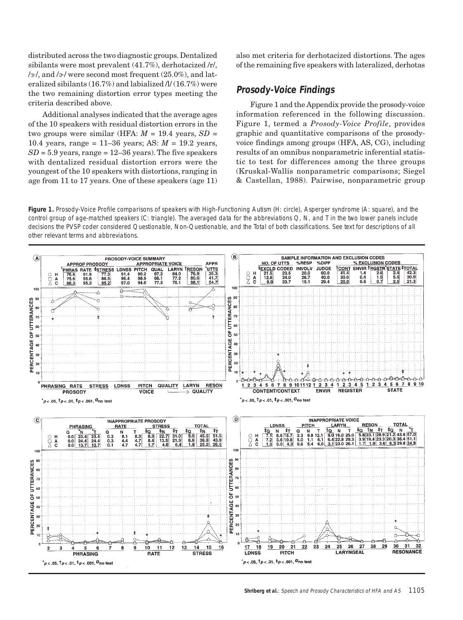distributed across the two diagnostic groups. Dentalized sibilants were most prevalent (41.7%), derhotacized /r/,  $/$ <sub>3</sub> $/$ , and  $/$ <sup>3</sup> $/$  were second most frequent (25.0%), and lateralized sibilants (16.7%) and labialized /l/ (16.7%) were the two remaining distortion error types meeting the criteria described above.

Additional analyses indicated that the average ages of the 10 speakers with residual distortion errors in the two groups were similar (HFA:  $M = 19.4$  years,  $SD =$ 10.4 years, range = 11–36 years; AS: *M* = 19.2 years,  $SD = 5.9$  years, range  $= 12-36$  years). The five speakers with dentalized residual distortion errors were the youngest of the 10 speakers with distortions, ranging in age from 11 to 17 years. One of these speakers (age 11) also met criteria for derhotacized distortions. The ages of the remaining five speakers with lateralized, derhotas

#### **Prosody-Voice Findings**

Figure 1 and the Appendix provide the prosody-voice information referenced in the following discussion. Figure 1, termed a *Prosody-Voice Profile*, provides graphic and quantitative comparisons of the prosodyvoice findings among groups (HFA, AS, CG), including results of an omnibus nonparametric inferential statistic to test for differences among the three groups (Kruskal-Wallis nonparametric comparisons; Siegel & Castellan, 1988). Pairwise, nonparametric group

**Figure 1.** Prosody-Voice Profile comparisons of speakers with High-Functioning Autism (H: circle), Asperger syndrome (A: square), and the control group of age-matched speakers (C: triangle). The averaged data for the abbreviations Q, N, and T in the two lower panels include decisions the PVSP coder considered Questionable, Non-Questionable, and the Total of both classifications. See text for descriptions of all other relevant terms and abbreviations.

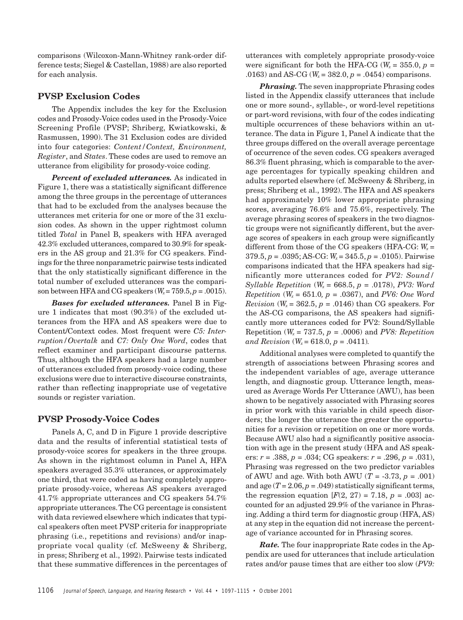comparisons (Wilcoxon-Mann-Whitney rank-order difference tests; Siegel & Castellan, 1988) are also reported for each analysis.

#### **PVSP Exclusion Codes**

The Appendix includes the key for the Exclusion codes and Prosody-Voice codes used in the Prosody-Voice Screening Profile (PVSP; Shriberg, Kwiatkowski, & Rasmussen, 1990). The 31 Exclusion codes are divided into four categories: *Content/Context, Environment, Register*, and *States*. These codes are used to remove an utterance from eligibility for prosody-voice coding.

*Percent of excluded utterances.* As indicated in Figure 1, there was a statistically significant difference among the three groups in the percentage of utterances that had to be excluded from the analyses because the utterances met criteria for one or more of the 31 exclusion codes. As shown in the upper rightmost column titled *Total* in Panel B, speakers with HFA averaged 42.3% excluded utterances, compared to 30.9% for speakers in the AS group and 21.3% for CG speakers. Findings for the three nonparametric pairwise tests indicated that the only statistically significant difference in the total number of excluded utterances was the comparison between HFA and CG speakers  $(W_x = 759.5, p = .0015)$ .

*Bases for excluded utterances.* Panel B in Figure 1 indicates that most (90.3%) of the excluded utterances from the HFA and AS speakers were due to Content/Context codes. Most frequent were *C5: Interruption/Overtalk* and *C7: Only One Word*, codes that reflect examiner and participant discourse patterns. Thus, although the HFA speakers had a large number of utterances excluded from prosody-voice coding, these exclusions were due to interactive discourse constraints, rather than reflecting inappropriate use of vegetative sounds or register variation.

#### **PVSP Prosody-Voice Codes**

Panels A, C, and D in Figure 1 provide descriptive data and the results of inferential statistical tests of prosody-voice scores for speakers in the three groups. As shown in the rightmost column in Panel A, HFA speakers averaged 35.3% utterances, or approximately one third, that were coded as having completely appropriate prosody-voice, whereas AS speakers averaged 41.7% appropriate utterances and CG speakers 54.7% appropriate utterances. The CG percentage is consistent with data reviewed elsewhere which indicates that typical speakers often meet PVSP criteria for inappropriate phrasing (i.e., repetitions and revisions) and/or inappropriate vocal quality (cf. McSweeny & Shriberg, in press; Shriberg et al., 1992). Pairwise tests indicated that these summative differences in the percentages of utterances with completely appropriate prosody-voice were significant for both the HFA-CG ( $W_x = 355.0$ ,  $p =$ .0163) and AS-CG ( $W_x = 382.0$ ,  $p = .0454$ ) comparisons.

*Phrasing.* The seven inappropriate Phrasing codes listed in the Appendix classify utterances that include one or more sound-, syllable-, or word-level repetitions or part-word revisions, with four of the codes indicating multiple occurrences of these behaviors within an utterance. The data in Figure 1, Panel A indicate that the three groups differed on the overall average percentage of occurrence of the seven codes. CG speakers averaged 86.3% fluent phrasing, which is comparable to the average percentages for typically speaking children and adults reported elsewhere (cf. McSweeny & Shriberg, in press; Shriberg et al., 1992). The HFA and AS speakers had approximately 10% lower appropriate phrasing scores, averaging 76.6% and 75.6%, respectively. The average phrasing scores of speakers in the two diagnostic groups were not significantly different, but the average scores of speakers in each group were significantly different from those of the CG speakers (HFA-CG:  $W_x =$ 379.5, *p* = .0395; AS-CG: *Wx* = 345.5, *p* = .0105). Pairwise comparisons indicated that the HFA speakers had significantly more utterances coded for *PV2: Sound/ Syllable Repetition* (*Wx* = 668.5, *p* = .0178), *PV3: Word Repetition* (*Wx* = 651.0*, p =* .0367), and *PV6: One Word Revision* ( $W_x = 362.5$ ,  $p = .0146$ ) than CG speakers. For the AS-CG comparisons, the AS speakers had significantly more utterances coded for PV2: Sound/Syllable Repetition (*Wx* = 737.5, *p* = .0006) and *PV8: Repetition and Revision*  $(W_x = 618.0, p = .0411)$ *.* 

Additional analyses were completed to quantify the strength of associations between Phrasing scores and the independent variables of age, average utterance length, and diagnostic group. Utterance length, measured as Average Words Per Utterance (AWU), has been shown to be negatively associated with Phrasing scores in prior work with this variable in child speech disorders; the longer the utterance the greater the opportunities for a revision or repetition on one or more words. Because AWU also had a significantly positive association with age in the present study (HFA and AS speakers: *r* = .388, *p* = .034; CG speakers: *r* = .296, *p* = .031), Phrasing was regressed on the two predictor variables of AWU and age. With both AWU ( $T = -3.73$ ,  $p = .001$ ) and age  $(T = 2.06, p = .049)$  statistically significant terms, the regression equation  $[F(2, 27) = 7.18, p = .003]$  accounted for an adjusted 29.9% of the variance in Phrasing. Adding a third term for diagnostic group (HFA, AS) at any step in the equation did not increase the percentage of variance accounted for in Phrasing scores.

*Rate.* The four inappropriate Rate codes in the Appendix are used for utterances that include articulation rates and/or pause times that are either too slow (*PV9:*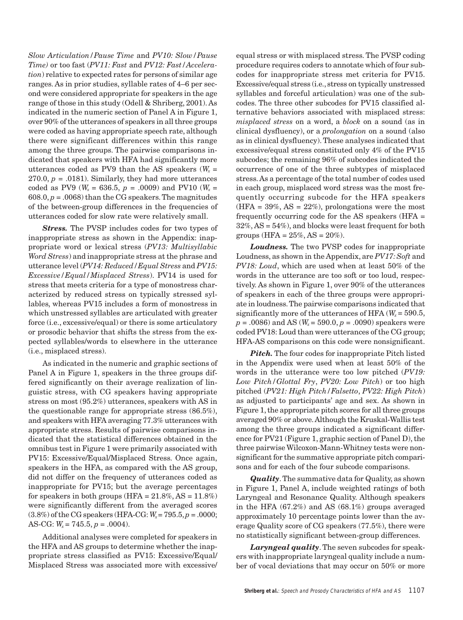*Slow Articulation/Pause Time* and *PV10: Slow/Pause Time)* or too fast (*PV11: Fast* and *PV12: Fast/Acceleration*) relative to expected rates for persons of similar age ranges. As in prior studies, syllable rates of 4–6 per second were considered appropriate for speakers in the age range of those in this study (Odell & Shriberg, 2001). As indicated in the numeric section of Panel A in Figure 1, over 90% of the utterances of speakers in all three groups were coded as having appropriate speech rate, although there were significant differences within this range among the three groups. The pairwise comparisons indicated that speakers with HFA had significantly more utterances coded as PV9 than the AS speakers  $(W_x =$ 270.0,  $p = .0181$ ). Similarly, they had more utterances coded as PV9 ( $W_x = 636.5$ ,  $p = .0009$ ) and PV10 ( $W_x =$  $608.0, p = .0068$ ) than the CG speakers. The magnitudes of the between-group differences in the frequencies of utterances coded for slow rate were relatively small.

*Stress.* The PVSP includes codes for two types of inappropriate stress as shown in the Appendix: inappropriate word or lexical stress (*PV13: Multisyllabic Word Stress*) and inappropriate stress at the phrase and utterance level (*PV14: Reduced/Equal Stress* and *PV15: Excessive/Equal/Misplaced Stress*). PV14 is used for stress that meets criteria for a type of monostress characterized by reduced stress on typically stressed syllables, whereas PV15 includes a form of monostress in which unstressed syllables are articulated with greater force (i.e., excessive/equal) or there is some articulatory or prosodic behavior that shifts the stress from the expected syllables/words to elsewhere in the utterance (i.e., misplaced stress).

As indicated in the numeric and graphic sections of Panel A in Figure 1, speakers in the three groups differed significantly on their average realization of linguistic stress, with CG speakers having appropriate stress on most (95.2%) utterances, speakers with AS in the questionable range for appropriate stress (86.5%), and speakers with HFA averaging 77.3% utterances with appropriate stress. Results of pairwise comparisons indicated that the statistical differences obtained in the omnibus test in Figure 1 were primarily associated with PV15: Excessive/Equal/Misplaced Stress. Once again, speakers in the HFA, as compared with the AS group, did not differ on the frequency of utterances coded as inappropriate for PV15; but the average percentages for speakers in both groups  $(HFA = 21.8\%, AS = 11.8\%)$ were significantly different from the averaged scores  $(3.8\%)$  of the CG speakers (HFA-CG:  $W_x = 795.5, p = .0000;$ AS-CG:  $W_x = 745.5$ ,  $p = .0004$ ).

Additional analyses were completed for speakers in the HFA and AS groups to determine whether the inappropriate stress classified as PV15: Excessive/Equal/ Misplaced Stress was associated more with excessive/ equal stress or with misplaced stress. The PVSP coding procedure requires coders to annotate which of four subcodes for inappropriate stress met criteria for PV15. Excessive/equal stress (i.e., stress on typically unstressed syllables and forceful articulation) was one of the subcodes. The three other subcodes for PV15 classified alternative behaviors associated with misplaced stress: *misplaced stress* on a word, a *block* on a sound (as in clinical dysfluency), or a *prolongation* on a sound (also as in clinical dysfluency). These analyses indicated that excessive/equal stress constituted only 4% of the PV15 subcodes; the remaining 96% of subcodes indicated the occurrence of one of the three subtypes of misplaced stress. As a percentage of the total number of codes used in each group, misplaced word stress was the most frequently occurring subcode for the HFA speakers  $(HFA = 39\%, AS = 22\%)$ , prolongations were the most frequently occurring code for the AS speakers (HFA = 32%, AS = 54%), and blocks were least frequent for both groups (HFA =  $25\%, AS = 20\%$ ).

*Loudness.* The two PVSP codes for inappropriate Loudness, as shown in the Appendix, are *PV17: Soft* and *PV18: Loud*, which are used when at least 50% of the words in the utterance are too soft or too loud, respectively. As shown in Figure 1, over 90% of the utterances of speakers in each of the three groups were appropriate in loudness. The pairwise comparisons indicated that significantly more of the utterances of HFA  $(W_x = 590.5,$  $p = .0086$ ) and AS ( $W_x = 590.0$ ,  $p = .0090$ ) speakers were coded PV18: Loud than were utterances of the CG group; HFA-AS comparisons on this code were nonsignificant.

*Pitch.* The four codes for inappropriate Pitch listed in the Appendix were used when at least 50% of the words in the utterance were too low pitched (*PV19: Low Pitch/Glottal Fry*, *PV20: Low Pitch*) or too high pitched (*PV21: High Pitch/Falsetto*, *PV22: High Pitch*) as adjusted to participants' age and sex. As shown in Figure 1, the appropriate pitch scores for all three groups averaged 90% or above. Although the Kruskal-Wallis test among the three groups indicated a significant difference for PV21 (Figure 1, graphic section of Panel D), the three pairwise Wilcoxon-Mann-Whitney tests were nonsignificant for the summative appropriate pitch comparisons and for each of the four subcode comparisons.

*Quality*. The summative data for Quality, as shown in Figure 1, Panel A, include weighted ratings of both Laryngeal and Resonance Quality. Although speakers in the HFA (67.2%) and AS (68.1%) groups averaged approximately 10 percentage points lower than the average Quality score of CG speakers (77.5%), there were no statistically significant between-group differences.

*Laryngeal quality*. The seven subcodes for speakers with inappropriate laryngeal quality include a number of vocal deviations that may occur on 50% or more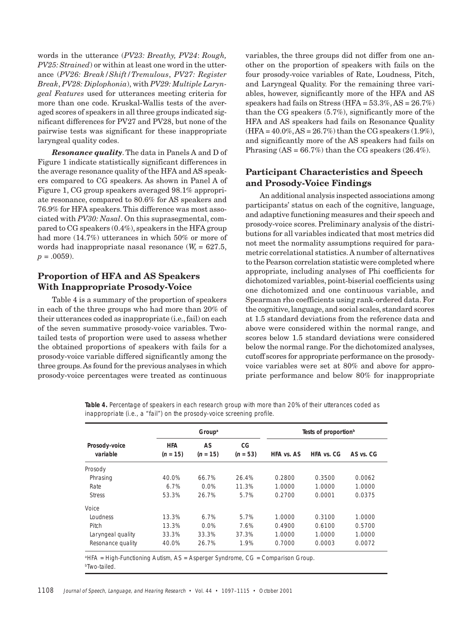words in the utterance (*PV23: Breathy, PV24*: *Rough, PV25: Strained*) or within at least one word in the utterance (*PV26: Break/Shift/Tremulous*, *PV27: Register Break*, *PV28: Diplophonia*), with *PV29: Multiple Laryngeal Features* used for utterances meeting criteria for more than one code. Kruskal-Wallis tests of the averaged scores of speakers in all three groups indicated significant differences for PV27 and PV28, but none of the pairwise tests was significant for these inappropriate laryngeal quality codes.

*Resonance quality*. The data in Panels A and D of Figure 1 indicate statistically significant differences in the average resonance quality of the HFA and AS speakers compared to CG speakers. As shown in Panel A of Figure 1, CG group speakers averaged 98.1% appropriate resonance, compared to 80.6% for AS speakers and 76.9% for HFA speakers. This difference was most associated with *PV30: Nasal*. On this suprasegmental, compared to CG speakers (0.4%), speakers in the HFA group had more (14.7%) utterances in which 50% or more of words had inappropriate nasal resonance  $(W_x = 627.5,$  $p = .0059$ .

#### **Proportion of HFA and AS Speakers With Inappropriate Prosody-Voice**

Table 4 is a summary of the proportion of speakers in each of the three groups who had more than 20% of their utterances coded as inappropriate (i.e., fail) on each of the seven summative prosody-voice variables. Twotailed tests of proportion were used to assess whether the obtained proportions of speakers with fails for a prosody-voice variable differed significantly among the three groups. As found for the previous analyses in which prosody-voice percentages were treated as continuous

variables, the three groups did not differ from one another on the proportion of speakers with fails on the four prosody-voice variables of Rate, Loudness, Pitch, and Laryngeal Quality. For the remaining three variables, however, significantly more of the HFA and AS speakers had fails on Stress (HFA =  $53.3\%$ , AS =  $26.7\%$ ) than the CG speakers (5.7%), significantly more of the HFA and AS speakers had fails on Resonance Quality (HFA = 40.0%, AS = 26.7%) than the CG speakers (1.9%), and significantly more of the AS speakers had fails on Phrasing  $(AS = 66.7\%)$  than the CG speakers  $(26.4\%)$ .

#### **Participant Characteristics and Speech and Prosody-Voice Findings**

An additional analysis inspected associations among participants' status on each of the cognitive, language, and adaptive functioning measures and their speech and prosody-voice scores. Preliminary analysis of the distributions for all variables indicated that most metrics did not meet the normality assumptions required for parametric correlational statistics. A number of alternatives to the Pearson correlation statistic were completed where appropriate, including analyses of Phi coefficients for dichotomized variables, point-biserial coefficients using one dichotomized and one continuous variable, and Spearman rho coefficients using rank-ordered data. For the cognitive, language, and social scales, standard scores at 1.5 standard deviations from the reference data and above were considered within the normal range, and scores below 1.5 standard deviations were considered below the normal range. For the dichotomized analyses, cutoff scores for appropriate performance on the prosodyvoice variables were set at 80% and above for appropriate performance and below 80% for inappropriate

|                           |                          | Group <sup>a</sup> |                  |            | Tests of proportion <sup>b</sup> |           |  |  |
|---------------------------|--------------------------|--------------------|------------------|------------|----------------------------------|-----------|--|--|
| Prosody-voice<br>variable | <b>HFA</b><br>$(n = 15)$ | AS<br>$(n = 15)$   | CG<br>$(n = 53)$ | HFA vs. AS | HFA vs. CG                       | AS vs. CG |  |  |
| Prosody                   |                          |                    |                  |            |                                  |           |  |  |
| Phrasing                  | 40.0%                    | 66.7%              | 26.4%            | 0.2800     | 0.3500                           | 0.0062    |  |  |
| Rate                      | 6.7%                     | 0.0%               | 11.3%            | 1.0000     | 1.0000                           | 1.0000    |  |  |
| <b>Stress</b>             | 53.3%                    | 26.7%              | 5.7%             | 0.2700     | 0.0001                           | 0.0375    |  |  |
| Voice                     |                          |                    |                  |            |                                  |           |  |  |
| Loudness                  | 13.3%                    | 6.7%               | 5.7%             | 1.0000     | 0.3100                           | 1.0000    |  |  |
| Pitch                     | 13.3%                    | 0.0%               | 7.6%             | 0.4900     | 0.6100                           | 0.5700    |  |  |
| Laryngeal quality         | 33.3%                    | 33.3%              | 37.3%            | 1.0000     | 1.0000                           | 1.0000    |  |  |
| Resonance quality         | 40.0%                    | 26.7%              | 1.9%             | 0.7000     | 0.0003                           | 0.0072    |  |  |

**Table 4.** Percentage of speakers in each research group with more than 20% of their utterances coded as inappropriate (i.e., a "fail") on the prosody-voice screening profile.

a HFA = High-Functioning Autism, AS = Asperger Syndrome, CG = Comparison Group. bTwo-tailed.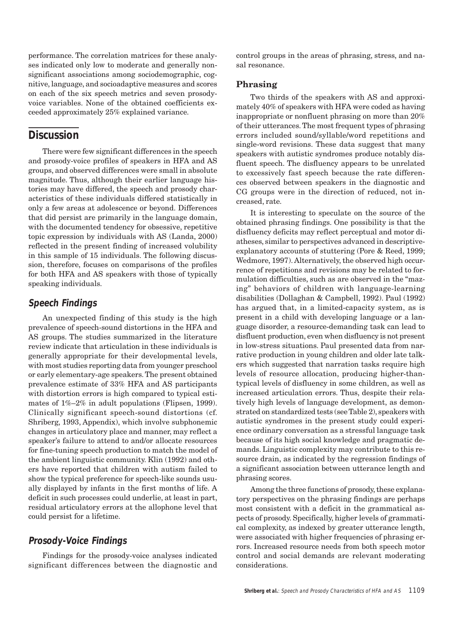performance. The correlation matrices for these analyses indicated only low to moderate and generally nonsignificant associations among sociodemographic, cognitive, language, and socioadaptive measures and scores on each of the six speech metrics and seven prosodyvoice variables. None of the obtained coefficients exceeded approximately 25% explained variance.

## **Discussion**

There were few significant differences in the speech and prosody-voice profiles of speakers in HFA and AS groups, and observed differences were small in absolute magnitude. Thus, although their earlier language histories may have differed, the speech and prosody characteristics of these individuals differed statistically in only a few areas at adolescence or beyond. Differences that did persist are primarily in the language domain, with the documented tendency for obsessive, repetitive topic expression by individuals with AS (Landa, 2000) reflected in the present finding of increased volubility in this sample of 15 individuals. The following discussion, therefore, focuses on comparisons of the profiles for both HFA and AS speakers with those of typically speaking individuals.

#### **Speech Findings**

An unexpected finding of this study is the high prevalence of speech-sound distortions in the HFA and AS groups. The studies summarized in the literature review indicate that articulation in these individuals is generally appropriate for their developmental levels, with most studies reporting data from younger preschool or early elementary-age speakers. The present obtained prevalence estimate of 33% HFA and AS participants with distortion errors is high compared to typical estimates of 1%–2% in adult populations (Flipsen, 1999). Clinically significant speech-sound distortions (cf. Shriberg, 1993, Appendix), which involve subphonemic changes in articulatory place and manner, may reflect a speaker's failure to attend to and/or allocate resources for fine-tuning speech production to match the model of the ambient linguistic community. Klin (1992) and others have reported that children with autism failed to show the typical preference for speech-like sounds usually displayed by infants in the first months of life. A deficit in such processes could underlie, at least in part, residual articulatory errors at the allophone level that could persist for a lifetime.

### **Prosody-Voice Findings**

Findings for the prosody-voice analyses indicated significant differences between the diagnostic and control groups in the areas of phrasing, stress, and nasal resonance.

#### **Phrasing**

Two thirds of the speakers with AS and approximately 40% of speakers with HFA were coded as having inappropriate or nonfluent phrasing on more than 20% of their utterances. The most frequent types of phrasing errors included sound/syllable/word repetitions and single-word revisions. These data suggest that many speakers with autistic syndromes produce notably disfluent speech. The disfluency appears to be unrelated to excessively fast speech because the rate differences observed between speakers in the diagnostic and CG groups were in the direction of reduced, not increased, rate.

It is interesting to speculate on the source of the obtained phrasing findings. One possibility is that the disfluency deficits may reflect perceptual and motor diatheses, similar to perspectives advanced in descriptiveexplanatory accounts of stuttering (Pore & Reed, 1999; Wedmore, 1997). Alternatively, the observed high occurrence of repetitions and revisions may be related to formulation difficulties, such as are observed in the "mazing" behaviors of children with language-learning disabilities (Dollaghan & Campbell, 1992). Paul (1992) has argued that, in a limited-capacity system, as is present in a child with developing language or a language disorder, a resource-demanding task can lead to disfluent production, even when disfluency is not present in low-stress situations. Paul presented data from narrative production in young children and older late talkers which suggested that narration tasks require high levels of resource allocation, producing higher-thantypical levels of disfluency in some children, as well as increased articulation errors. Thus, despite their relatively high levels of language development, as demonstrated on standardized tests (see Table 2), speakers with autistic syndromes in the present study could experience ordinary conversation as a stressful language task because of its high social knowledge and pragmatic demands. Linguistic complexity may contribute to this resource drain, as indicated by the regression findings of a significant association between utterance length and phrasing scores.

Among the three functions of prosody, these explanatory perspectives on the phrasing findings are perhaps most consistent with a deficit in the grammatical aspects of prosody. Specifically, higher levels of grammatical complexity, as indexed by greater utterance length, were associated with higher frequencies of phrasing errors. Increased resource needs from both speech motor control and social demands are relevant moderating considerations.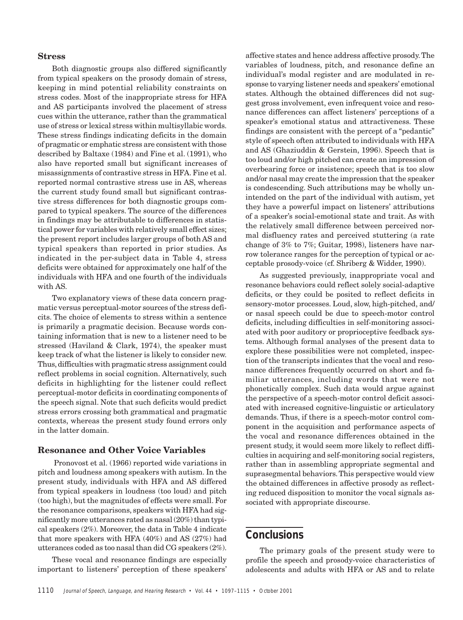#### **Stress**

Both diagnostic groups also differed significantly from typical speakers on the prosody domain of stress, keeping in mind potential reliability constraints on stress codes. Most of the inappropriate stress for HFA and AS participants involved the placement of stress cues within the utterance, rather than the grammatical use of stress or lexical stress within multisyllabic words. These stress findings indicating deficits in the domain of pragmatic or emphatic stress are consistent with those described by Baltaxe (1984) and Fine et al. (1991), who also have reported small but significant increases of misassignments of contrastive stress in HFA. Fine et al. reported normal contrastive stress use in AS, whereas the current study found small but significant contrastive stress differences for both diagnostic groups compared to typical speakers. The source of the differences in findings may be attributable to differences in statistical power for variables with relatively small effect sizes; the present report includes larger groups of both AS and typical speakers than reported in prior studies. As indicated in the per-subject data in Table 4, stress deficits were obtained for approximately one half of the individuals with HFA and one fourth of the individuals with AS.

Two explanatory views of these data concern pragmatic versus perceptual-motor sources of the stress deficits. The choice of elements to stress within a sentence is primarily a pragmatic decision. Because words containing information that is new to a listener need to be stressed (Haviland & Clark, 1974), the speaker must keep track of what the listener is likely to consider new. Thus, difficulties with pragmatic stress assignment could reflect problems in social cognition. Alternatively, such deficits in highlighting for the listener could reflect perceptual-motor deficits in coordinating components of the speech signal. Note that such deficits would predict stress errors crossing both grammatical and pragmatic contexts, whereas the present study found errors only in the latter domain.

#### **Resonance and Other Voice Variables**

 Pronovost et al. (1966) reported wide variations in pitch and loudness among speakers with autism. In the present study, individuals with HFA and AS differed from typical speakers in loudness (too loud) and pitch (too high), but the magnitudes of effects were small. For the resonance comparisons, speakers with HFA had significantly more utterances rated as nasal (20%) than typical speakers (2%). Moreover, the data in Table 4 indicate that more speakers with HFA (40%) and AS (27%) had utterances coded as too nasal than did CG speakers (2%).

These vocal and resonance findings are especially important to listeners' perception of these speakers'

affective states and hence address affective prosody. The variables of loudness, pitch, and resonance define an individual's modal register and are modulated in response to varying listener needs and speakers' emotional states. Although the obtained differences did not suggest gross involvement, even infrequent voice and resonance differences can affect listeners' perceptions of a speaker's emotional status and attractiveness. These findings are consistent with the percept of a "pedantic" style of speech often attributed to individuals with HFA and AS (Ghaziuddin & Gerstein, 1996). Speech that is too loud and/or high pitched can create an impression of overbearing force or insistence; speech that is too slow and/or nasal may create the impression that the speaker is condescending. Such attributions may be wholly unintended on the part of the individual with autism, yet they have a powerful impact on listeners' attributions of a speaker's social-emotional state and trait. As with the relatively small difference between perceived normal disfluency rates and perceived stuttering (a rate change of 3% to 7%; Guitar, 1998), listeners have narrow tolerance ranges for the perception of typical or acceptable prosody-voice (cf. Shriberg & Widder, 1990).

As suggested previously, inappropriate vocal and resonance behaviors could reflect solely social-adaptive deficits, or they could be posited to reflect deficits in sensory-motor processes. Loud, slow, high-pitched, and/ or nasal speech could be due to speech-motor control deficits, including difficulties in self-monitoring associated with poor auditory or proprioceptive feedback systems. Although formal analyses of the present data to explore these possibilities were not completed, inspection of the transcripts indicates that the vocal and resonance differences frequently occurred on short and familiar utterances, including words that were not phonetically complex. Such data would argue against the perspective of a speech-motor control deficit associated with increased cognitive-linguistic or articulatory demands. Thus, if there is a speech-motor control component in the acquisition and performance aspects of the vocal and resonance differences obtained in the present study, it would seem more likely to reflect difficulties in acquiring and self-monitoring social registers, rather than in assembling appropriate segmental and suprasegmental behaviors. This perspective would view the obtained differences in affective prosody as reflecting reduced disposition to monitor the vocal signals associated with appropriate discourse.

## **Conclusions**

The primary goals of the present study were to profile the speech and prosody-voice characteristics of adolescents and adults with HFA or AS and to relate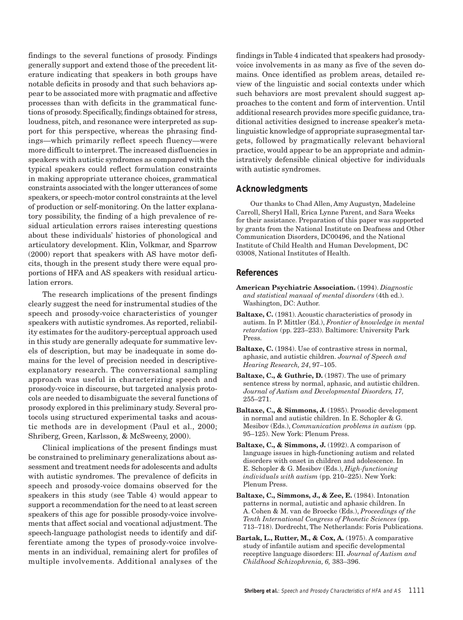findings to the several functions of prosody. Findings generally support and extend those of the precedent literature indicating that speakers in both groups have notable deficits in prosody and that such behaviors appear to be associated more with pragmatic and affective processes than with deficits in the grammatical functions of prosody. Specifically, findings obtained for stress, loudness, pitch, and resonance were interpreted as support for this perspective, whereas the phrasing findings—which primarily reflect speech fluency—were more difficult to interpret. The increased disfluencies in speakers with autistic syndromes as compared with the typical speakers could reflect formulation constraints in making appropriate utterance choices, grammatical constraints associated with the longer utterances of some speakers, or speech-motor control constraints at the level of production or self-monitoring. On the latter explanatory possibility, the finding of a high prevalence of residual articulation errors raises interesting questions about these individuals' histories of phonological and articulatory development. Klin, Volkmar, and Sparrow (2000) report that speakers with AS have motor deficits, though in the present study there were equal proportions of HFA and AS speakers with residual articulation errors.

The research implications of the present findings clearly suggest the need for instrumental studies of the speech and prosody-voice characteristics of younger speakers with autistic syndromes. As reported, reliability estimates for the auditory-perceptual approach used in this study are generally adequate for summative levels of description, but may be inadequate in some domains for the level of precision needed in descriptiveexplanatory research. The conversational sampling approach was useful in characterizing speech and prosody-voice in discourse, but targeted analysis protocols are needed to disambiguate the several functions of prosody explored in this preliminary study. Several protocols using structured experimental tasks and acoustic methods are in development (Paul et al., 2000; Shriberg, Green, Karlsson, & McSweeny, 2000).

Clinical implications of the present findings must be constrained to preliminary generalizations about assessment and treatment needs for adolescents and adults with autistic syndromes. The prevalence of deficits in speech and prosody-voice domains observed for the speakers in this study (see Table 4) would appear to support a recommendation for the need to at least screen speakers of this age for possible prosody-voice involvements that affect social and vocational adjustment. The speech-language pathologist needs to identify and differentiate among the types of prosody-voice involvements in an individual, remaining alert for profiles of multiple involvements. Additional analyses of the

findings in Table 4 indicated that speakers had prosodyvoice involvements in as many as five of the seven domains. Once identified as problem areas, detailed review of the linguistic and social contexts under which such behaviors are most prevalent should suggest approaches to the content and form of intervention. Until additional research provides more specific guidance, traditional activities designed to increase speaker's metalinguistic knowledge of appropriate suprasegmental targets, followed by pragmatically relevant behavioral practice, would appear to be an appropriate and administratively defensible clinical objective for individuals with autistic syndromes.

#### **Acknowledgments**

Our thanks to Chad Allen, Amy Augustyn, Madeleine Carroll, Sheryl Hall, Erica Lynne Parent, and Sara Weeks for their assistance. Preparation of this paper was supported by grants from the National Institute on Deafness and Other Communication Disorders, DC00496, and the National Institute of Child Health and Human Development, DC 03008, National Institutes of Health.

#### **References**

- **American Psychiatric Association.** (1994). *Diagnostic and statistical manual of mental disorders* (4th ed.). Washington, DC: Author.
- **Baltaxe, C.** (1981). Acoustic characteristics of prosody in autism. In P. Mittler (Ed.), *Frontier of knowledge in mental retardation* (pp. 223–233). Baltimore: University Park Press.
- **Baltaxe, C.** (1984). Use of contrastive stress in normal, aphasic, and autistic children. *Journal of Speech and Hearing Research, 24*, 97–105.
- **Baltaxe, C., & Guthrie, D.** (1987). The use of primary sentence stress by normal, aphasic, and autistic children. *Journal of Autism and Developmental Disorders, 17,* 255–271.
- **Baltaxe, C., & Simmons, J.** (1985). Prosodic development in normal and autistic children. In E. Schopler & G. Mesibov (Eds.), *Communication problems in autism* (pp. 95–125). New York: Plenum Press.
- **Baltaxe, C., & Simmons, J.** (1992). A comparison of language issues in high-functioning autism and related disorders with onset in children and adolescence. In E. Schopler & G. Mesibov (Eds.), *High-functioning individuals with autism* (pp. 210–225). New York: Plenum Press.
- **Baltaxe, C., Simmons, J., & Zee, E.** (1984). Intonation patterns in normal, autistic and aphasic children. In A. Cohen & M. van de Broecke (Eds.), *Proceedings of the Tenth International Congress of Phonetic Sciences* (pp. 713–718). Dordrecht, The Netherlands: Foris Publications.
- **Bartak, L., Rutter, M., & Cox, A.** (1975). A comparative study of infantile autism and specific developmental receptive language disorders: III. *Journal of Autism and Childhood Schizophrenia, 6,* 383–396.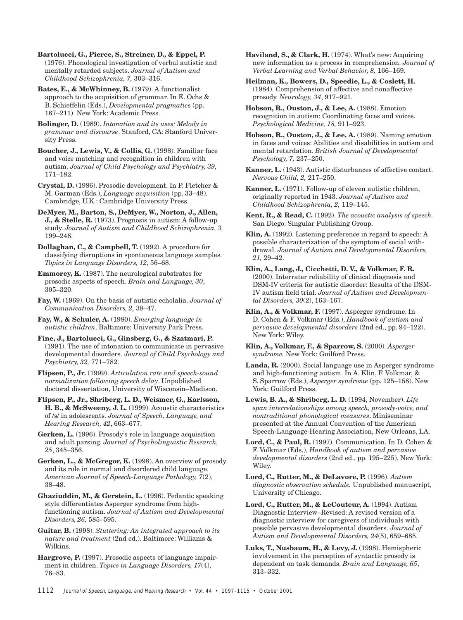**Bartolucci, G., Pierce, S., Streiner, D., & Eppel, P.** (1976). Phonological investigation of verbal autistic and mentally retarded subjects. *Journal of Autism and Childhood Schizophrenia, 7,* 303–316.

**Bates, E., & McWhinney, B.** (1979). A functionalist approach to the acquisition of grammar. In E. Ochs & B. Schieffelin (Eds.), *Developmental pragmatics* (pp. 167–211). New York: Academic Press.

**Bolinger, D.** (1989). *Intonation and its uses: Melody in grammar and discourse*. Stanford, CA: Stanford University Press.

**Boucher, J., Lewis, V., & Collis, G.** (1998). Familiar face and voice matching and recognition in children with autism. *Journal of Child Psychology and Psychiatry, 39,* 171–182.

**Crystal, D.** (1986). Prosodic development. In P. Fletcher & M. Garman (Eds.), *Language acquisition* (pp. 33–48). Cambridge, U.K.: Cambridge University Press.

**DeMyer, M., Barton, S., DeMyer, W., Norton, J., Allen, J., & Stelle, R.** (1973). Prognosis in autism: A follow-up study. *Journal of Autism and Childhood Schizophrenia, 3,* 199–246.

**Dollaghan, C., & Campbell, T.** (1992). A procedure for classifying disruptions in spontaneous language samples. *Topics in Language Disorders, 12*, 56–68.

**Emmorey, K.** (1987). The neurological substrates for prosodic aspects of speech. *Brain and Language, 30*, 305–320.

**Fay, W.** (1969). On the basis of autistic echolalia. *Journal of Communication Disorders, 2,* 38–47.

**Fay, W., & Schuler, A.** (1980). *Emerging language in autistic children*. Baltimore: University Park Press.

**Fine, J., Bartolucci, G., Ginsberg, G., & Szatmari, P.** (1991). The use of intonation to communicate in pervasive developmental disorders. *Journal of Child Psychology and Psychiatry, 32,* 771–782.

**Flipsen, P., Jr.** (1999). *Articulation rate and speech-sound normalization following speech delay*. Unpublished doctoral dissertation, University of Wisconsin–Madison.

**Flipsen, P., Jr., Shriberg, L. D., Weismer, G., Karlsson, H. B., & McSweeny, J. L.** (1999). Acoustic characteristics of /s/ in adolescents. *Journal of Speech, Language, and Hearing Research, 42*, 663–677.

**Gerken, L.** (1996). Prosody's role in language acquisition and adult parsing. *Journal of Psycholinguistic Research, 25*, 345–356.

**Gerken, L., & McGregor, K.** (1998). An overview of prosody and its role in normal and disordered child language. *American Journal of Speech-Language Pathology, 7*(2), 38–48.

**Ghaziuddin, M., & Gerstein, L.** (1996). Pedantic speaking style differentiates Asperger syndrome from highfunctioning autism. *Journal of Autism and Developmental Disorders, 26,* 585–595.

**Guitar, B.** (1998). *Stuttering: An integrated approach to its nature and treatment* (2nd ed.). Baltimore: Williams & Wilkins.

**Hargrove, P.** (1997). Prosodic aspects of language impairment in children. *Topics in Language Disorders, 17*(4), 76–83.

**Haviland, S., & Clark, H.** (1974). What's new: Acquiring new information as a process in comprehension. *Journal of Verbal Learning and Verbal Behavior, 8,* 166–169.

**Heilman, K., Bowers, D., Speedie, L., & Coslett, H.** (1984). Comprehension of affective and nonaffective prosody. *Neurology, 34*, 917–921.

**Hobson, R., Ouston, J., & Lee, A.** (1988). Emotion recognition in autism: Coordinating faces and voices. *Psychological Medicine, 18,* 911–923.

**Hobson, R., Ouston, J., & Lee, A.** (1989). Naming emotion in faces and voices: Abilities and disabilities in autism and mental retardation. *British Journal of Developmental Psychology, 7,* 237–250.

**Kanner, L.** (1943). Autistic disturbances of affective contact. *Nervous Child, 2,* 217–250.

**Kanner, L.** (1971). Follow-up of eleven autistic children, originally reported in 1943. *Journal of Autism and Childhood Schizophrenia, 2,* 119–145.

**Kent, R., & Read, C.** (1992). *The acoustic analysis of speech.* San Diego: Singular Publishing Group.

**Klin, A.** (1992). Listening preference in regard to speech: A possible characterization of the symptom of social withdrawal. *Journal of Autism and Developmental Disorders, 21,* 29–42.

**Klin, A., Lang, J., Cicchetti, D. V., & Volkmar, F. R.** (2000). Interrater reliability of clinical diagnosis and DSM-IV criteria for autistic disorder: Results of the DSM-IV autism field trial. *Journal of Autism and Developmental Disorders, 30*(2), 163–167.

**Klin, A., & Volkmar, F.** (1997). Asperger syndrome. In D. Cohen & F. Volkmar (Eds.), *Handbook of autism and pervasive developmental disorders* (2nd ed., pp. 94–122). New York: Wiley.

**Klin, A., Volkmar, F., & Sparrow, S.** (2000). *Asperger syndrome.* New York: Guilford Press.

**Landa, R.** (2000). Social language use in Asperger syndrome and high-functioning autism. In A. Klin, F. Volkmar, & S. Sparrow (Eds.), *Asperger syndrome* (pp. 125–158). New York: Guilford Press.

**Lewis, B. A., & Shriberg, L. D.** (1994, November). *Life span interrelationships among speech, prosody-voice, and nontraditional phonological measures*. Miniseminar presented at the Annual Convention of the American Speech-Language-Hearing Association, New Orleans, LA.

**Lord, C., & Paul, R.** (1997). Communication. In D. Cohen & F. Volkmar (Eds.), *Handbook of autism and pervasive developmental disorders* (2nd ed., pp. 195–225). New York: Wiley.

**Lord, C., Rutter, M., & DeLavore, P.** (1996). *Autism diagnostic observation schedule.* Unpublished manuscript, University of Chicago.

**Lord, C., Rutter, M., & LeCouteur, A.** (1994). Autism Diagnostic Interview–Revised: A revised version of a diagnostic interview for caregivers of individuals with possible pervasive developmental disorders. *Journal of Autism and Developmental Disorders, 24*(5), 659–685.

**Luks, T., Nusbaum, H., & Levy, J.** (1998). Hemispheric involvement in the perception of syntactic prosody is dependent on task demands. *Brain and Language, 65*, 313–332.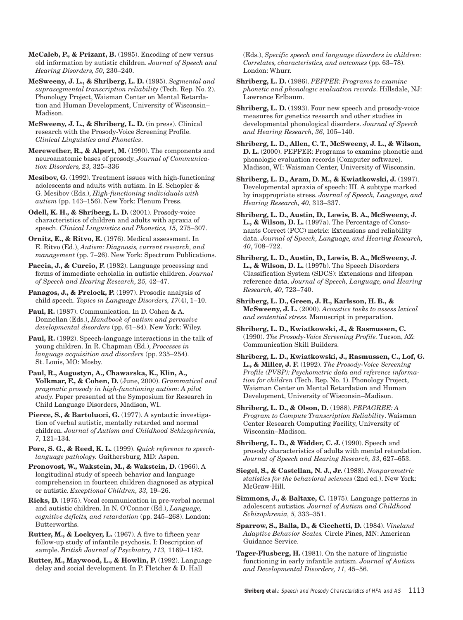**McCaleb, P., & Prizant, B.** (1985). Encoding of new versus old information by autistic children. *Journal of Speech and Hearing Disorders, 50*, 230–240.

**McSweeny, J. L., & Shriberg, L. D.** (1995). *Segmental and suprasegmental transcription reliability* (Tech. Rep. No. 2). Phonology Project, Waisman Center on Mental Retardation and Human Development, University of Wisconsin– Madison.

**McSweeny, J. L., & Shriberg, L. D.** (in press). Clinical research with the Prosody-Voice Screening Profile. *Clinical Linguistics and Phonetics*.

**Merewether, R., & Alpert, M.** (1990). The components and neuroanatomic bases of prosody. *Journal of Communication Disorders, 23,* 325–336

**Mesibov, G.** (1992). Treatment issues with high-functioning adolescents and adults with autism. In E. Schopler & G. Mesibov (Eds.), *High-functioning individuals with autism* (pp. 143–156). New York: Plenum Press.

**Odell, K. H., & Shriberg, L. D.** (2001). Prosody-voice characteristics of children and adults with apraxia of speech. *Clinical Linguistics and Phonetics, 15,* 275–307.

**Ornitz, E., & Ritvo, E.** (1976). Medical assessment. In E. Ritvo (Ed.), *Autism: Diagnosis, current research, and management* (pp. 7–26). New York: Spectrum Publications.

**Paccia, J., & Curcio, F.** (1982). Language processing and forms of immediate echolalia in autistic children. *Journal of Speech and Hearing Research, 25,* 42–47.

**Panagos, J., & Prelock, P.** (1997). Prosodic analysis of child speech. *Topics in Language Disorders, 17*(4), 1–10.

**Paul, R.** (1987). Communication. In D. Cohen & A. Donnellan (Eds.), *Handbook of autism and pervasive developmental disorders* (pp. 61–84). New York: Wiley.

**Paul, R.** (1992). Speech-language interactions in the talk of young children. In R. Chapman (Ed.), *Processes in language acquisition and disorders* (pp. 235–254). St. Louis, MO: Mosby.

**Paul, R., Augustyn, A., Chawarska, K., Klin, A., Volkmar, F., & Cohen, D.** (June, 2000). *Grammatical and pragmatic prosody in high-functioning autism: A pilot study.* Paper presented at the Symposium for Research in Child Language Disorders, Madison, WI.

**Pierce, S., & Bartolucci, G.** (1977). A syntactic investigation of verbal autistic, mentally retarded and normal children. *Journal of Autism and Childhood Schizophrenia, 7,* 121–134.

**Pore, S. G., & Reed, K. L.** (1999). *Quick reference to speechlanguage pathology.* Gaithersburg, MD: Aspen.

**Pronovost, W., Wakstein, M., & Wakstein, D.** (1966). A longitudinal study of speech behavior and language comprehension in fourteen children diagnosed as atypical or autistic. *Exceptional Children, 33,* 19–26.

**Ricks, D.** (1975). Vocal communication in pre-verbal normal and autistic children. In N. O'Connor (Ed.), *Language, cognitive deficits, and retardation* (pp. 245–268). London: Butterworths.

**Rutter, M., & Lockyer, L.** (1967). A five to fifteen year follow-up study of infantile psychosis. I: Description of sample. *British Journal of Psychiatry, 113,* 1169–1182.

**Rutter, M., Maywood, L., & Howlin, P.** (1992). Language delay and social development. In P. Fletcher & D. Hall

(Eds.), *Specific speech and language disorders in children: Correlates, characteristics, and outcomes* (pp. 63–78). London: Whurr.

**Shriberg, L. D.** (1986). *PEPPER: Programs to examine phonetic and phonologic evaluation records*. Hillsdale, NJ: Lawrence Erlbaum.

**Shriberg, L. D.** (1993). Four new speech and prosody-voice measures for genetics research and other studies in developmental phonological disorders. *Journal of Speech and Hearing Research, 36*, 105–140.

**Shriberg, L. D., Allen, C. T., McSweeny, J. L., & Wilson, D. L.** (2000). PEPPER: Programs to examine phonetic and phonologic evaluation records [Computer software]. Madison, WI: Waisman Center, University of Wisconsin.

**Shriberg, L. D., Aram, D. M., & Kwiatkowski, J.** (1997). Developmental apraxia of speech: III. A subtype marked by inappropriate stress. *Journal of Speech, Language, and Hearing Research, 40*, 313–337.

**Shriberg, L. D., Austin, D., Lewis, B. A., McSweeny, J. L., & Wilson, D. L.** (1997a). The Percentage of Consonants Correct (PCC) metric: Extensions and reliability data. *Journal of Speech, Language, and Hearing Research, 40*, 708–722.

**Shriberg, L. D., Austin, D., Lewis, B. A., McSweeny, J. L., & Wilson, D. L.** (1997b). The Speech Disorders Classification System (SDCS): Extensions and lifespan reference data. *Journal of Speech, Language, and Hearing Research, 40*, 723–740.

**Shriberg, L. D., Green, J. R., Karlsson, H. B., & McSweeny, J. L.** (2000). *Acoustics tasks to assess lexical and sentential stress.* Manuscript in preparation.

**Shriberg, L. D., Kwiatkowski, J., & Rasmussen, C.** (1990). *The Prosody-Voice Screening Profile*. Tucson, AZ: Communication Skill Builders.

**Shriberg, L. D., Kwiatkowski, J., Rasmussen, C., Lof, G. L., & Miller, J. F.** (1992). *The Prosody-Voice Screening Profile (PVSP): Psychometric data and reference information for children* (Tech. Rep. No. 1). Phonology Project, Waisman Center on Mental Retardation and Human Development, University of Wisconsin–Madison.

**Shriberg, L. D., & Olson, D.** (1988). *PEPAGREE: A Program to Compute Transcription Reliability*. Waisman Center Research Computing Facility, University of Wisconsin–Madison.

**Shriberg, L. D., & Widder, C. J.** (1990). Speech and prosody characteristics of adults with mental retardation. *Journal of Speech and Hearing Research, 33*, 627–653.

**Siegel, S., & Castellan, N. J., Jr.** (1988). *Nonparametric statistics for the behavioral sciences* (2nd ed.). New York: McGraw-Hill.

**Simmons, J., & Baltaxe, C.** (1975). Language patterns in adolescent autistics. *Journal of Autism and Childhood Schizophrenia, 5,* 333–351.

**Sparrow, S., Balla, D., & Cicchetti, D.** (1984). *Vineland Adaptive Behavior Scales.* Circle Pines, MN: American Guidance Service.

**Tager-Flusberg, H.** (1981). On the nature of linguistic functioning in early infantile autism. *Journal of Autism and Developmental Disorders, 11,* 45–56.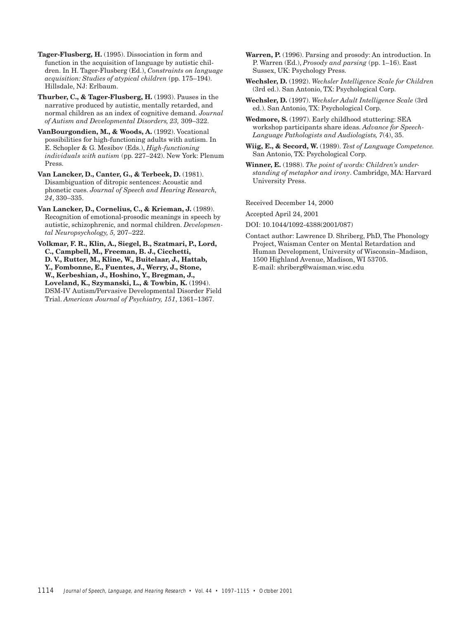**Tager-Flusberg, H.** (1995). Dissociation in form and function in the acquisition of language by autistic children. In H. Tager-Flusberg (Ed.), *Constraints on language acquisition: Studies of atypical children* (pp. 175–194). Hillsdale, NJ: Erlbaum.

**Thurber, C., & Tager-Flusberg, H.** (1993). Pauses in the narrative produced by autistic, mentally retarded, and normal children as an index of cognitive demand. *Journal of Autism and Developmental Disorders, 23,* 309–322.

**VanBourgondien, M., & Woods, A.** (1992). Vocational possibilities for high-functioning adults with autism. In E. Schopler & G. Mesibov (Eds.), *High-functioning individuals with autism* (pp. 227–242). New York: Plenum Press.

**Van Lancker, D., Canter, G., & Terbeek, D.** (1981). Disambiguation of ditropic sentences: Acoustic and phonetic cues. *Journal of Speech and Hearing Research, 24*, 330–335.

**Van Lancker, D., Cornelius, C., & Krieman, J.** (1989). Recognition of emotional-prosodic meanings in speech by autistic, schizophrenic, and normal children. *Developmental Neuropsychology, 5,* 207–222.

**Volkmar, F. R., Klin, A., Siegel, B., Szatmari, P., Lord, C., Campbell, M., Freeman, B. J., Cicchetti, D. V., Rutter, M., Kline, W., Buitelaar, J., Hattab, Y., Fombonne, E., Fuentes, J., Werry, J., Stone, W., Kerbeshian, J., Hoshino, Y., Bregman, J., Loveland, K., Szymanski, L., & Towbin, K.** (1994). DSM-IV Autism/Pervasive Developmental Disorder Field Trial. *American Journal of Psychiatry, 151*, 1361–1367.

**Warren, P.** (1996). Parsing and prosody: An introduction. In P. Warren (Ed.), *Prosody and parsing* (pp. 1–16). East Sussex, UK: Psychology Press.

**Wechsler, D.** (1992). *Wechsler Intelligence Scale for Children* (3rd ed.). San Antonio, TX: Psychological Corp.

**Wechsler, D.** (1997). *Wechsler Adult Intelligence Scale* (3rd ed.). San Antonio, TX: Psychological Corp.

**Wedmore, S.** (1997). Early childhood stuttering: SEA workshop participants share ideas. *Advance for Speech-Language Pathologists and Audiologists, 7*(4), 35.

**Wiig, E., & Secord, W.** (1989). *Test of Language Competence.* San Antonio, TX: Psychological Corp.

**Winner, E.** (1988). *The point of words: Children's understanding of metaphor and irony*. Cambridge, MA: Harvard University Press.

Received December 14, 2000

Accepted April 24, 2001

DOI: 10.1044/1092-4388(2001/087)

Contact author: Lawrence D. Shriberg, PhD, The Phonology Project, Waisman Center on Mental Retardation and Human Development, University of Wisconsin–Madison, 1500 Highland Avenue, Madison, WI 53705. E-mail: shriberg@waisman.wisc.edu